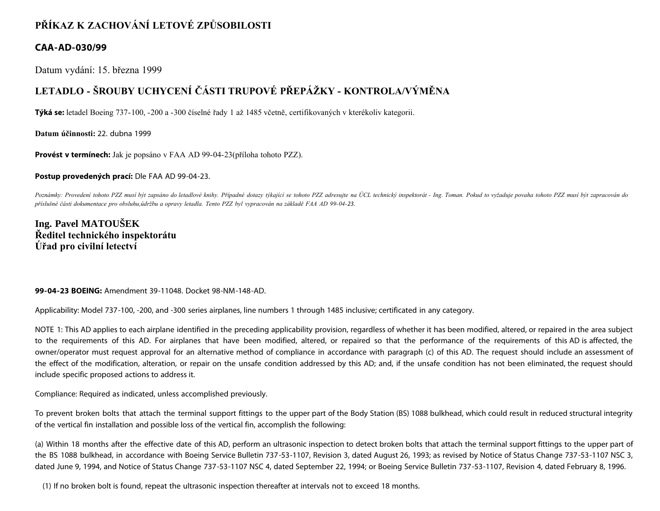## **PŘÍKAZ K ZACHOVÁNÍ LETOVÉ ZPŮSOBILOSTI**

### **CAA-AD-030/99**

Datum vydání: 15. března 1999

# **LETADLO - ŠROUBY UCHYCENÍ ČÁSTI TRUPOVÉ PŘEPÁŽKY - KONTROLA/VÝMĚNA**

**Týká se:** letadel Boeing 737-100, -200 a -300 číselné řady 1 až 1485 včetně, certifikovaných v kterékoliv kategorii.

**Datum účinnosti:** 22. dubna 1999

**Provést v termínech:** Jak je popsáno v FAA AD 99-04-23(příloha tohoto PZZ).

**Postup provedených prací:** Dle FAA AD 99-04-23.

Poznámky: Provedení tohoto PZZ musí být zapsáno do letadlové knihy. Případné dotazy týkající se tohoto PZZ adresujte na ÚCL technický inspektorát - Ing. Toman. Pokud to vyžaduje povaha tohoto PZZ musí být zapracován do *příslušné části dokumentace pro obsluhu,údržbu a opravy letadla. Tento PZZ byl vypracován na základě FAA AD 99-04-23.*

## **Ing. Pavel MATOUŠEK Ředitel technického inspektorátu Úřad pro civilní letectví**

**99-04-23 BOEING:** Amendment 39-11048. Docket 98-NM-148-AD.

Applicability: Model 737-100, -200, and -300 series airplanes, line numbers 1 through 1485 inclusive; certificated in any category.

NOTE 1: This AD applies to each airplane identified in the preceding applicability provision, regardless of whether it has been modified, altered, or repaired in the area subject to the requirements of this AD. For airplanes that have been modified, altered, or repaired so that the performance of the requirements of this AD is affected, the owner/operator must request approval for an alternative method of compliance in accordance with paragraph (c) of this AD. The request should include an assessment of the effect of the modification, alteration, or repair on the unsafe condition addressed by this AD; and, if the unsafe condition has not been eliminated, the request should include specific proposed actions to address it.

Compliance: Required as indicated, unless accomplished previously.

To prevent broken bolts that attach the terminal support fittings to the upper part of the Body Station (BS) 1088 bulkhead, which could result in reduced structural integrity of the vertical fin installation and possible loss of the vertical fin, accomplish the following:

(a) Within 18 months after the effective date of this AD, perform an ultrasonic inspection to detect broken bolts that attach the terminal support fittings to the upper part of the BS 1088 bulkhead, in accordance with Boeing Service Bulletin 737-53-1107, Revision 3, dated August 26, 1993; as revised by Notice of Status Change 737-53-1107 NSC 3, dated June 9, 1994, and Notice of Status Change 737-53-1107 NSC 4, dated September 22, 1994; or Boeing Service Bulletin 737-53-1107, Revision 4, dated February 8, 1996.

(1) If no broken bolt is found, repeat the ultrasonic inspection thereafter at intervals not to exceed 18 months.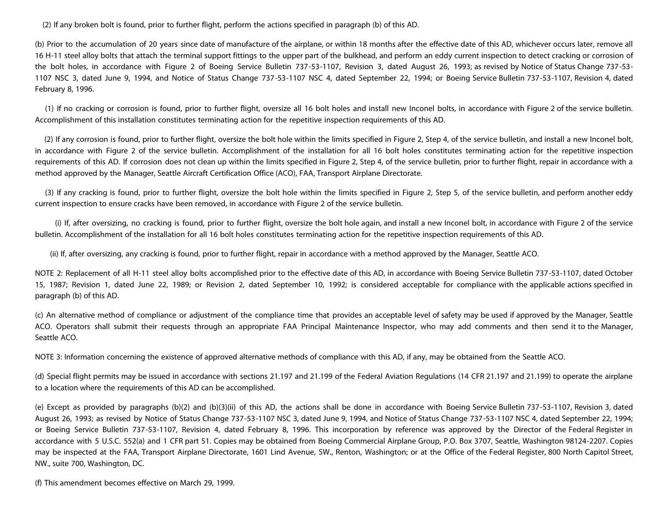(2) If any broken bolt is found, prior to further flight, perform the actions specified in paragraph (b) of this AD.

(b) Prior to the accumulation of 20 years since date of manufacture of the airplane, or within 18 months after the effective date of this AD, whichever occurs later, remove all 16 H-11 steel alloy bolts that attach the terminal support fittings to the upper part of the bulkhead, and perform an eddy current inspection to detect cracking or corrosion of the bolt holes, in accordance with Figure 2 of Boeing Service Bulletin 737-53-1107, Revision 3, dated August 26, 1993; as revised by Notice of Status Change 737-53- 1107 NSC 3, dated June 9, 1994, and Notice of Status Change 737-53-1107 NSC 4, dated September 22, 1994; or Boeing Service Bulletin 737-53-1107, Revision 4, dated February 8, 1996.

 (1) If no cracking or corrosion is found, prior to further flight, oversize all 16 bolt holes and install new Inconel bolts, in accordance with Figure 2 of the service bulletin. Accomplishment of this installation constitutes terminating action for the repetitive inspection requirements of this AD.

 (2) If any corrosion is found, prior to further flight, oversize the bolt hole within the limits specified in Figure 2, Step 4, of the service bulletin, and install a new Inconel bolt, in accordance with Figure 2 of the service bulletin. Accomplishment of the installation for all 16 bolt holes constitutes terminating action for the repetitive inspection requirements of this AD. If corrosion does not clean up within the limits specified in Figure 2, Step 4, of the service bulletin, prior to further flight, repair in accordance with a method approved by the Manager, Seattle Aircraft Certification Office (ACO), FAA, Transport Airplane Directorate.

 (3) If any cracking is found, prior to further flight, oversize the bolt hole within the limits specified in Figure 2, Step 5, of the service bulletin, and perform another eddy current inspection to ensure cracks have been removed, in accordance with Figure 2 of the service bulletin.

 (i) If, after oversizing, no cracking is found, prior to further flight, oversize the bolt hole again, and install a new Inconel bolt, in accordance with Figure 2 of the service bulletin. Accomplishment of the installation for all 16 bolt holes constitutes terminating action for the repetitive inspection requirements of this AD.

(ii) If, after oversizing, any cracking is found, prior to further flight, repair in accordance with a method approved by the Manager, Seattle ACO.

NOTE 2: Replacement of all H-11 steel alloy bolts accomplished prior to the effective date of this AD, in accordance with Boeing Service Bulletin 737-53-1107, dated October 15, 1987; Revision 1, dated June 22, 1989; or Revision 2, dated September 10, 1992; is considered acceptable for compliance with the applicable actions specified in paragraph (b) of this AD.

(c) An alternative method of compliance or adjustment of the compliance time that provides an acceptable level of safety may be used if approved by the Manager, Seattle ACO. Operators shall submit their requests through an appropriate FAA Principal Maintenance Inspector, who may add comments and then send it to the Manager, Seattle ACO.

NOTE 3: Information concerning the existence of approved alternative methods of compliance with this AD, if any, may be obtained from the Seattle ACO.

(d) Special flight permits may be issued in accordance with sections 21.197 and 21.199 of the Federal Aviation Regulations (14 CFR 21.197 and 21.199) to operate the airplane to a location where the requirements of this AD can be accomplished.

(e) Except as provided by paragraphs (b)(2) and (b)(3)(ii) of this AD, the actions shall be done in accordance with Boeing Service Bulletin 737-53-1107, Revision 3, dated August 26, 1993; as revised by Notice of Status Change 737-53-1107 NSC 3, dated June 9, 1994, and Notice of Status Change 737-53-1107 NSC 4, dated September 22, 1994; or Boeing Service Bulletin 737-53-1107, Revision 4, dated February 8, 1996. This incorporation by reference was approved by the Director of the Federal Register in accordance with 5 U.S.C. 552(a) and 1 CFR part 51. Copies may be obtained from Boeing Commercial Airplane Group, P.O. Box 3707, Seattle, Washington 98124-2207. Copies may be inspected at the FAA, Transport Airplane Directorate, 1601 Lind Avenue, SW., Renton, Washington; or at the Office of the Federal Register, 800 North Capitol Street, NW., suite 700, Washington, DC.

(f) This amendment becomes effective on March 29, 1999.